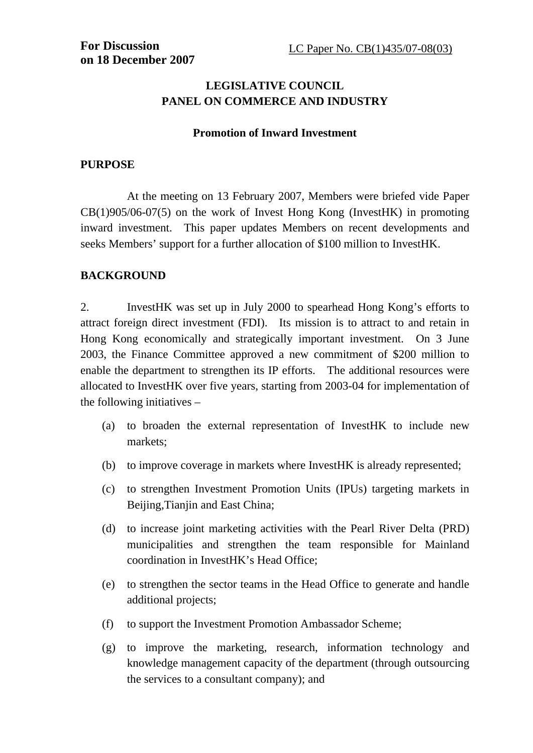# **LEGISLATIVE COUNCIL PANEL ON COMMERCE AND INDUSTRY**

#### **Promotion of Inward Investment**

### **PURPOSE**

 At the meeting on 13 February 2007, Members were briefed vide Paper CB(1)905/06-07(5) on the work of Invest Hong Kong (InvestHK) in promoting inward investment. This paper updates Members on recent developments and seeks Members' support for a further allocation of \$100 million to InvestHK.

## **BACKGROUND**

2. InvestHK was set up in July 2000 to spearhead Hong Kong's efforts to attract foreign direct investment (FDI). Its mission is to attract to and retain in Hong Kong economically and strategically important investment. On 3 June 2003, the Finance Committee approved a new commitment of \$200 million to enable the department to strengthen its IP efforts. The additional resources were allocated to InvestHK over five years, starting from 2003-04 for implementation of the following initiatives –

- (a) to broaden the external representation of InvestHK to include new markets;
- (b) to improve coverage in markets where InvestHK is already represented;
- (c) to strengthen Investment Promotion Units (IPUs) targeting markets in Beijing,Tianjin and East China;
- (d) to increase joint marketing activities with the Pearl River Delta (PRD) municipalities and strengthen the team responsible for Mainland coordination in InvestHK's Head Office;
- (e) to strengthen the sector teams in the Head Office to generate and handle additional projects;
- (f) to support the Investment Promotion Ambassador Scheme;
- (g) to improve the marketing, research, information technology and knowledge management capacity of the department (through outsourcing the services to a consultant company); and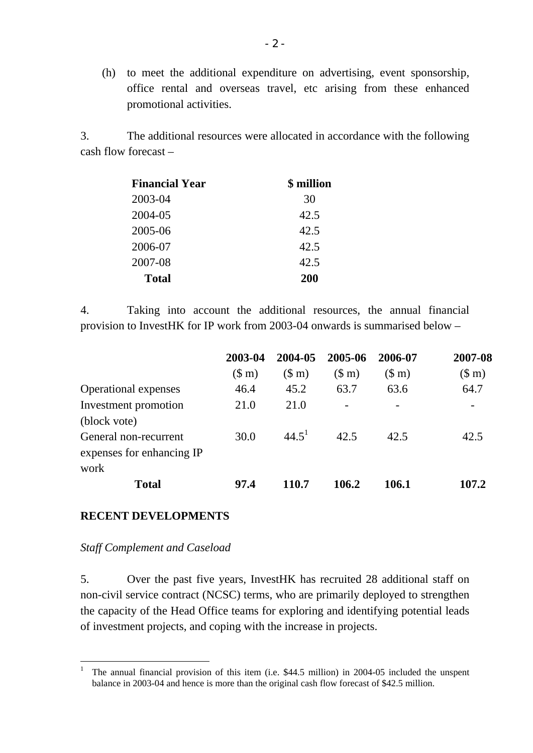(h) to meet the additional expenditure on advertising, event sponsorship, office rental and overseas travel, etc arising from these enhanced promotional activities.

3. The additional resources were allocated in accordance with the following cash flow forecast –

| <b>Financial Year</b> | \$ million |
|-----------------------|------------|
| 2003-04               | 30         |
| 2004-05               | 42.5       |
| 2005-06               | 42.5       |
| 2006-07               | 42.5       |
| 2007-08               | 42.5       |
| <b>Total</b>          | <b>200</b> |

4. Taking into account the additional resources, the annual financial provision to InvestHK for IP work from 2003-04 onwards is summarised below –

|                             | 2003-04               | 2004-05        | 2005-06        | 2006-07               | 2007-08               |
|-----------------------------|-----------------------|----------------|----------------|-----------------------|-----------------------|
|                             | $(\text{S} \text{m})$ | $(\text{S m})$ | $(\text{S m})$ | $(\text{S} \text{m})$ | $(\text{S} \text{m})$ |
| <b>Operational expenses</b> | 46.4                  | 45.2           | 63.7           | 63.6                  | 64.7                  |
| Investment promotion        | 21.0                  | 21.0           |                |                       |                       |
| (block vote)                |                       |                |                |                       |                       |
| General non-recurrent       | 30.0                  | $44.5^1$       | 42.5           | 42.5                  | 42.5                  |
| expenses for enhancing IP   |                       |                |                |                       |                       |
| work                        |                       |                |                |                       |                       |
| <b>Total</b>                | 97.4                  | 110.7          | 106.2          | 106.1                 | 107.2                 |

### **RECENT DEVELOPMENTS**

#### *Staff Complement and Caseload*

 $\overline{a}$ 

5. Over the past five years, InvestHK has recruited 28 additional staff on non-civil service contract (NCSC) terms, who are primarily deployed to strengthen the capacity of the Head Office teams for exploring and identifying potential leads of investment projects, and coping with the increase in projects.

<sup>1</sup> The annual financial provision of this item (i.e. \$44.5 million) in 2004-05 included the unspent balance in 2003-04 and hence is more than the original cash flow forecast of \$42.5 million.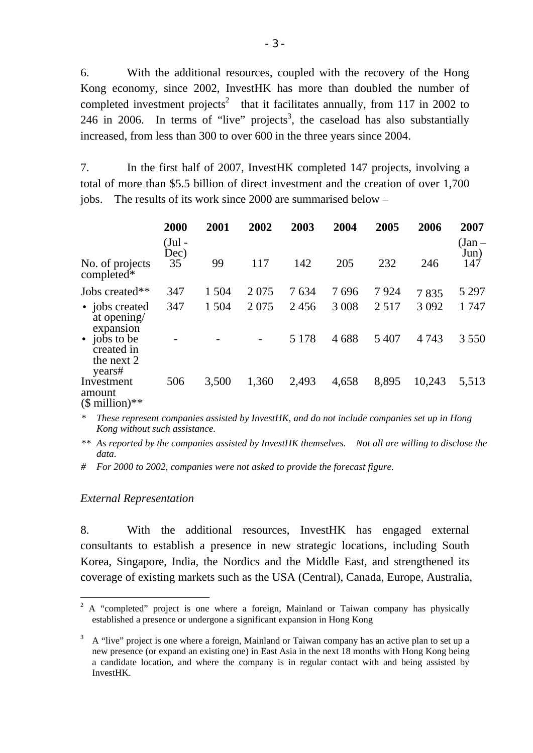6. With the additional resources, coupled with the recovery of the Hong Kong economy, since 2002, InvestHK has more than doubled the number of completed investment projects<sup>2</sup> that it facilitates annually, from 117 in 2002 to 246 in 2006. In terms of "live" projects<sup>3</sup>, the caseload has also substantially increased, from less than 300 to over 600 in the three years since 2004.

7. In the first half of 2007, InvestHK completed 147 projects, involving a total of more than \$5.5 billion of direct investment and the creation of over 1,700 jobs. The results of its work since 2000 are summarised below –

|                                                               | 2000<br>(Jul -<br>Dec) | 2001  | 2002  | 2003    | 2004    | 2005    | 2006    | 2007<br>(Jan –<br>Jun) |
|---------------------------------------------------------------|------------------------|-------|-------|---------|---------|---------|---------|------------------------|
| No. of projects<br>completed*                                 | 35                     | 99    | 117   | 142     | 205     | 232     | 246     | 147                    |
| Jobs created**                                                | 347                    | 1 504 | 2075  | 7634    | 7696    | 7924    | 7835    | 5 2 9 7                |
| • jobs created<br>at opening/<br>expansion                    | 347                    | 1 504 | 2075  | 2456    | 3 0 0 8 | 2517    | 3 0 9 2 | 1 747                  |
| jobs to be<br>$\bullet$<br>created in<br>the next 2<br>years# |                        |       |       | 5 1 7 8 | 4688    | 5 4 0 7 | 4 7 4 3 | 3 5 5 0                |
| Investment<br>amount<br>$$$ million)**                        | 506                    | 3,500 | 1,360 | 2,493   | 4,658   | 8,895   | 10,243  | 5,513                  |

*\* These represent companies assisted by InvestHK, and do not include companies set up in Hong Kong without such assistance.* 

*\*\* As reported by the companies assisted by InvestHK themselves. Not all are willing to disclose the data.* 

*# For 2000 to 2002, companies were not asked to provide the forecast figure.* 

#### *External Representation*

 $\overline{a}$ 

8. With the additional resources, InvestHK has engaged external consultants to establish a presence in new strategic locations, including South Korea, Singapore, India, the Nordics and the Middle East, and strengthened its coverage of existing markets such as the USA (Central), Canada, Europe, Australia,

<sup>2</sup> A "completed" project is one where a foreign, Mainland or Taiwan company has physically established a presence or undergone a significant expansion in Hong Kong

 $3\;\;$  A "live" project is one where a foreign, Mainland or Taiwan company has an active plan to set up a new presence (or expand an existing one) in East Asia in the next 18 months with Hong Kong being a candidate location, and where the company is in regular contact with and being assisted by InvestHK.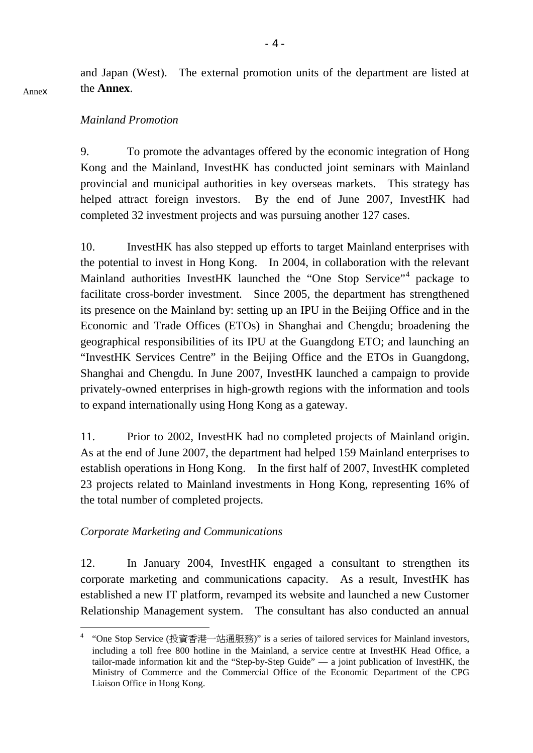and Japan (West). The external promotion units of the department are listed at the **Annex**.

#### *Mainland Promotion*

9. To promote the advantages offered by the economic integration of Hong Kong and the Mainland, InvestHK has conducted joint seminars with Mainland provincial and municipal authorities in key overseas markets. This strategy has helped attract foreign investors. By the end of June 2007, InvestHK had completed 32 investment projects and was pursuing another 127 cases.

10. InvestHK has also stepped up efforts to target Mainland enterprises with the potential to invest in Hong Kong. In 2004, in collaboration with the relevant Mainland authorities InvestHK launched the "One Stop Service"<sup>4</sup> package to facilitate cross-border investment. Since 2005, the department has strengthened its presence on the Mainland by: setting up an IPU in the Beijing Office and in the Economic and Trade Offices (ETOs) in Shanghai and Chengdu; broadening the geographical responsibilities of its IPU at the Guangdong ETO; and launching an "InvestHK Services Centre" in the Beijing Office and the ETOs in Guangdong, Shanghai and Chengdu. In June 2007, InvestHK launched a campaign to provide privately-owned enterprises in high-growth regions with the information and tools to expand internationally using Hong Kong as a gateway.

11. Prior to 2002, InvestHK had no completed projects of Mainland origin. As at the end of June 2007, the department had helped 159 Mainland enterprises to establish operations in Hong Kong. In the first half of 2007, InvestHK completed 23 projects related to Mainland investments in Hong Kong, representing 16% of the total number of completed projects.

### *Corporate Marketing and Communications*

 $\overline{a}$ 

12. In January 2004, InvestHK engaged a consultant to strengthen its corporate marketing and communications capacity. As a result, InvestHK has established a new IT platform, revamped its website and launched a new Customer Relationship Management system. The consultant has also conducted an annual

<sup>&</sup>lt;sup>4</sup> "One Stop Service (投資香港一站通服務)" is a series of tailored services for Mainland investors, including a toll free 800 hotline in the Mainland, a service centre at InvestHK Head Office, a tailor-made information kit and the "Step-by-Step Guide" — a joint publication of InvestHK, the Ministry of Commerce and the Commercial Office of the Economic Department of the CPG Liaison Office in Hong Kong.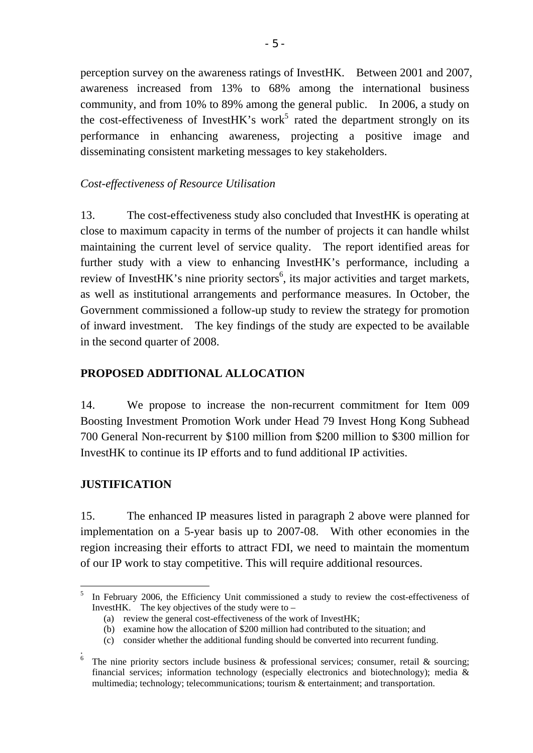perception survey on the awareness ratings of InvestHK. Between 2001 and 2007, awareness increased from 13% to 68% among the international business community, and from 10% to 89% among the general public. In 2006, a study on the cost-effectiveness of Invest $HK$ 's work<sup>5</sup> rated the department strongly on its performance in enhancing awareness, projecting a positive image and disseminating consistent marketing messages to key stakeholders.

## *Cost-effectiveness of Resource Utilisation*

13. The cost-effectiveness study also concluded that InvestHK is operating at close to maximum capacity in terms of the number of projects it can handle whilst maintaining the current level of service quality. The report identified areas for further study with a view to enhancing InvestHK's performance, including a review of InvestHK's nine priority sectors<sup>6</sup>, its major activities and target markets, as well as institutional arrangements and performance measures. In October, the Government commissioned a follow-up study to review the strategy for promotion of inward investment. The key findings of the study are expected to be available in the second quarter of 2008.

## **PROPOSED ADDITIONAL ALLOCATION**

14. We propose to increase the non-recurrent commitment for Item 009 Boosting Investment Promotion Work under Head 79 Invest Hong Kong Subhead 700 General Non-recurrent by \$100 million from \$200 million to \$300 million for InvestHK to continue its IP efforts and to fund additional IP activities.

### **JUSTIFICATION**

 $\overline{a}$ 

15. The enhanced IP measures listed in paragraph 2 above were planned for implementation on a 5-year basis up to 2007-08. With other economies in the region increasing their efforts to attract FDI, we need to maintain the momentum of our IP work to stay competitive. This will require additional resources.

<sup>5</sup> In February 2006, the Efficiency Unit commissioned a study to review the cost-effectiveness of InvestHK. The key objectives of the study were to  $-$ 

<sup>(</sup>a) review the general cost-effectiveness of the work of InvestHK;

<sup>(</sup>b) examine how the allocation of \$200 million had contributed to the situation; and

<sup>(</sup>c) consider whether the additional funding should be converted into recurrent funding.

<sup>.&</sup>lt;br><sup>6</sup> The nine priority sectors include business & professional services; consumer, retail & sourcing; financial services; information technology (especially electronics and biotechnology); media & multimedia; technology; telecommunications; tourism & entertainment; and transportation.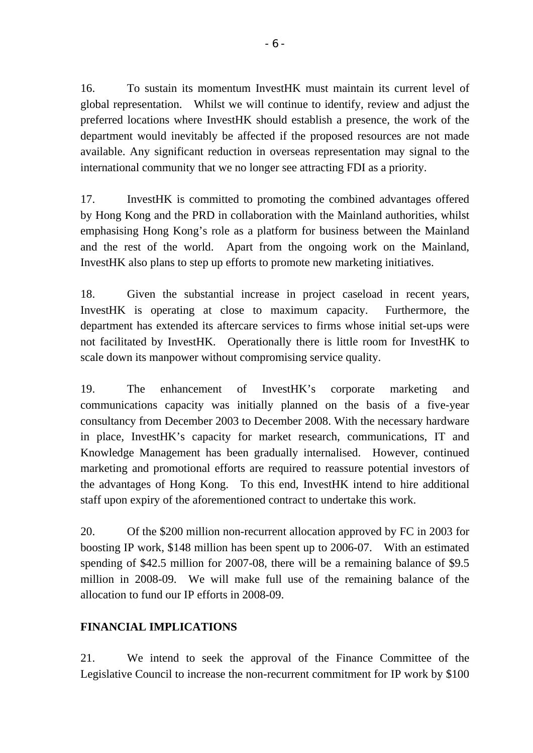16. To sustain its momentum InvestHK must maintain its current level of global representation. Whilst we will continue to identify, review and adjust the preferred locations where InvestHK should establish a presence, the work of the department would inevitably be affected if the proposed resources are not made available. Any significant reduction in overseas representation may signal to the international community that we no longer see attracting FDI as a priority.

17. InvestHK is committed to promoting the combined advantages offered by Hong Kong and the PRD in collaboration with the Mainland authorities, whilst emphasising Hong Kong's role as a platform for business between the Mainland and the rest of the world. Apart from the ongoing work on the Mainland, InvestHK also plans to step up efforts to promote new marketing initiatives.

18. Given the substantial increase in project caseload in recent years, InvestHK is operating at close to maximum capacity. Furthermore, the department has extended its aftercare services to firms whose initial set-ups were not facilitated by InvestHK. Operationally there is little room for InvestHK to scale down its manpower without compromising service quality.

19. The enhancement of InvestHK's corporate marketing and communications capacity was initially planned on the basis of a five-year consultancy from December 2003 to December 2008. With the necessary hardware in place, InvestHK's capacity for market research, communications, IT and Knowledge Management has been gradually internalised. However, continued marketing and promotional efforts are required to reassure potential investors of the advantages of Hong Kong. To this end, InvestHK intend to hire additional staff upon expiry of the aforementioned contract to undertake this work.

20. Of the \$200 million non-recurrent allocation approved by FC in 2003 for boosting IP work, \$148 million has been spent up to 2006-07. With an estimated spending of \$42.5 million for 2007-08, there will be a remaining balance of \$9.5 million in 2008-09. We will make full use of the remaining balance of the allocation to fund our IP efforts in 2008-09.

## **FINANCIAL IMPLICATIONS**

21. We intend to seek the approval of the Finance Committee of the Legislative Council to increase the non-recurrent commitment for IP work by \$100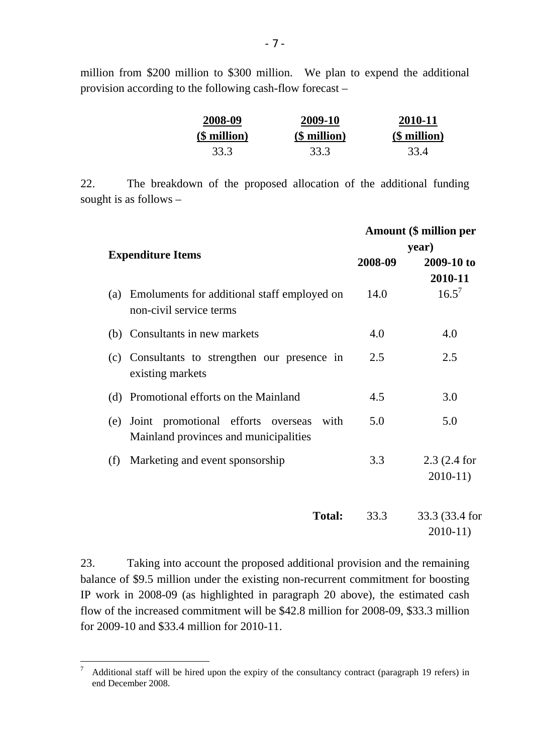million from \$200 million to \$300 million. We plan to expend the additional provision according to the following cash-flow forecast –

| 2008-09      | 2009-10      | 2010-11         |
|--------------|--------------|-----------------|
| (\$ million) | (\$ million) | $$$ million $)$ |
| 33.3         | 33.3         | 33.4            |

22. The breakdown of the proposed allocation of the additional funding sought is as follows –

|                                                                                            | <b>Amount (\$ million per</b> |                             |  |  |
|--------------------------------------------------------------------------------------------|-------------------------------|-----------------------------|--|--|
| <b>Expenditure Items</b>                                                                   | year)                         |                             |  |  |
|                                                                                            | 2008-09                       | 2009-10 to                  |  |  |
|                                                                                            |                               | 2010-11                     |  |  |
| Emoluments for additional staff employed on<br>(a)<br>non-civil service terms              | 14.0                          | $16.5^7$                    |  |  |
| (b) Consultants in new markets                                                             | 4.0                           | 4.0                         |  |  |
| (c) Consultants to strengthen our presence in<br>existing markets                          | 2.5                           | 2.5                         |  |  |
| (d) Promotional efforts on the Mainland                                                    | 4.5                           | 3.0                         |  |  |
| Joint promotional efforts overseas<br>with<br>(e)<br>Mainland provinces and municipalities | 5.0                           | 5.0                         |  |  |
| Marketing and event sponsorship<br>(f)                                                     | 3.3                           | $2.3(2.4)$ for<br>$2010-11$ |  |  |
| <b>Total:</b>                                                                              | 33.3                          | 33.3 (33.4 for<br>$2010-11$ |  |  |

23. Taking into account the proposed additional provision and the remaining balance of \$9.5 million under the existing non-recurrent commitment for boosting IP work in 2008-09 (as highlighted in paragraph 20 above), the estimated cash flow of the increased commitment will be \$42.8 million for 2008-09, \$33.3 million for 2009-10 and \$33.4 million for 2010-11.

 $\overline{a}$ 

<sup>7</sup> Additional staff will be hired upon the expiry of the consultancy contract (paragraph 19 refers) in end December 2008.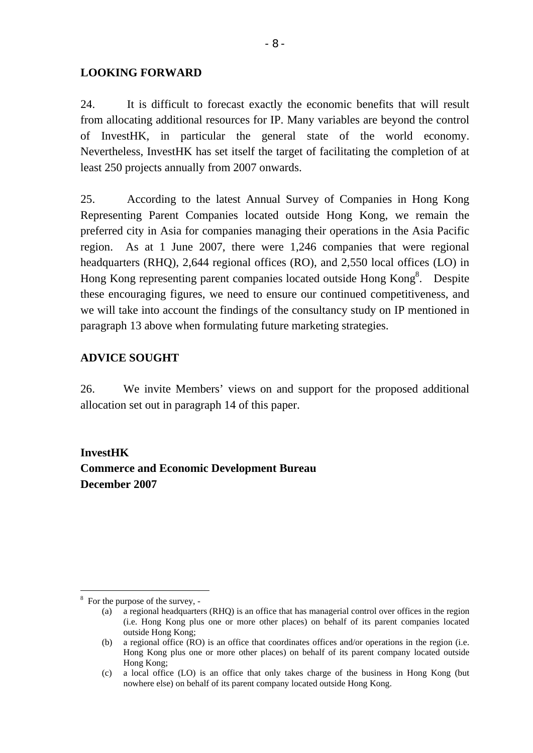#### **LOOKING FORWARD**

24. It is difficult to forecast exactly the economic benefits that will result from allocating additional resources for IP. Many variables are beyond the control of InvestHK, in particular the general state of the world economy. Nevertheless, InvestHK has set itself the target of facilitating the completion of at least 250 projects annually from 2007 onwards.

25. According to the latest Annual Survey of Companies in Hong Kong Representing Parent Companies located outside Hong Kong, we remain the preferred city in Asia for companies managing their operations in the Asia Pacific region. As at 1 June 2007, there were 1,246 companies that were regional headquarters (RHQ), 2,644 regional offices (RO), and 2,550 local offices (LO) in Hong Kong representing parent companies located outside Hong Kong<sup>8</sup>. Despite these encouraging figures, we need to ensure our continued competitiveness, and we will take into account the findings of the consultancy study on IP mentioned in paragraph 13 above when formulating future marketing strategies.

## **ADVICE SOUGHT**

26. We invite Members' views on and support for the proposed additional allocation set out in paragraph 14 of this paper.

**InvestHK Commerce and Economic Development Bureau December 2007** 

 $\overline{a}$ 

<sup>&</sup>lt;sup>8</sup> For the purpose of the survey, -

<sup>(</sup>a) a regional headquarters (RHQ) is an office that has managerial control over offices in the region (i.e. Hong Kong plus one or more other places) on behalf of its parent companies located outside Hong Kong;

<sup>(</sup>b) a regional office (RO) is an office that coordinates offices and/or operations in the region (i.e. Hong Kong plus one or more other places) on behalf of its parent company located outside Hong Kong;

<sup>(</sup>c) a local office (LO) is an office that only takes charge of the business in Hong Kong (but nowhere else) on behalf of its parent company located outside Hong Kong.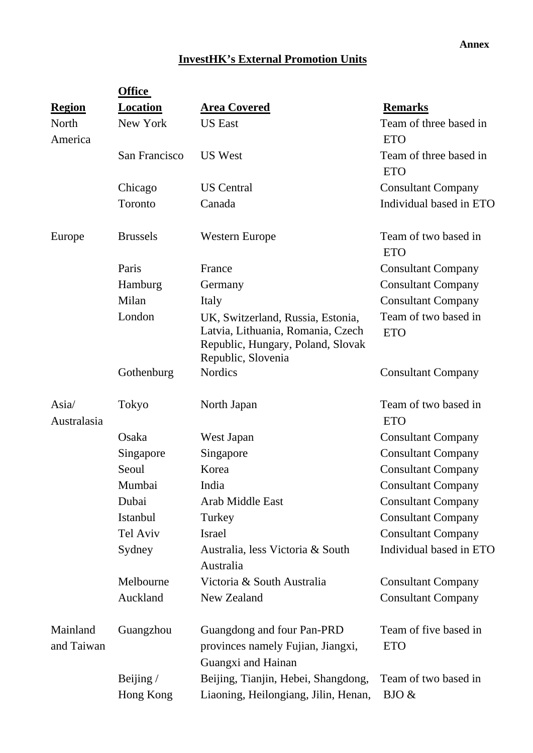#### **Annex**

# **InvestHK's External Promotion Units**

|                        | <b>Office</b>   |                                                                                                                                   |                                      |  |  |  |
|------------------------|-----------------|-----------------------------------------------------------------------------------------------------------------------------------|--------------------------------------|--|--|--|
| <b>Region</b>          | Location        | <b>Area Covered</b>                                                                                                               | <b>Remarks</b>                       |  |  |  |
| North<br>America       | New York        | <b>US</b> East                                                                                                                    | Team of three based in<br><b>ETO</b> |  |  |  |
|                        | San Francisco   | <b>US West</b>                                                                                                                    | Team of three based in<br><b>ETO</b> |  |  |  |
|                        | Chicago         | <b>US</b> Central                                                                                                                 | <b>Consultant Company</b>            |  |  |  |
|                        | Toronto         | Canada                                                                                                                            | Individual based in ETO              |  |  |  |
| Europe                 | <b>Brussels</b> | <b>Western Europe</b>                                                                                                             | Team of two based in<br><b>ETO</b>   |  |  |  |
|                        | Paris           | France                                                                                                                            | <b>Consultant Company</b>            |  |  |  |
|                        | Hamburg         | Germany                                                                                                                           | <b>Consultant Company</b>            |  |  |  |
|                        | Milan           | Italy                                                                                                                             | <b>Consultant Company</b>            |  |  |  |
|                        | London          | UK, Switzerland, Russia, Estonia,<br>Latvia, Lithuania, Romania, Czech<br>Republic, Hungary, Poland, Slovak<br>Republic, Slovenia | Team of two based in<br><b>ETO</b>   |  |  |  |
|                        | Gothenburg      | <b>Nordics</b>                                                                                                                    | <b>Consultant Company</b>            |  |  |  |
| Asia/<br>Australasia   | Tokyo           | North Japan                                                                                                                       | Team of two based in<br><b>ETO</b>   |  |  |  |
|                        | Osaka           | West Japan                                                                                                                        | <b>Consultant Company</b>            |  |  |  |
|                        | Singapore       | Singapore                                                                                                                         | <b>Consultant Company</b>            |  |  |  |
|                        | Seoul           | Korea                                                                                                                             | <b>Consultant Company</b>            |  |  |  |
|                        | Mumbai          | India                                                                                                                             | <b>Consultant Company</b>            |  |  |  |
|                        | Dubai           | Arab Middle East                                                                                                                  | <b>Consultant Company</b>            |  |  |  |
|                        | Istanbul        | Turkey                                                                                                                            | <b>Consultant Company</b>            |  |  |  |
|                        | Tel Aviv        | <b>Israel</b>                                                                                                                     | <b>Consultant Company</b>            |  |  |  |
|                        | Sydney          | Australia, less Victoria & South<br>Australia                                                                                     | Individual based in ETO              |  |  |  |
|                        | Melbourne       | Victoria & South Australia                                                                                                        | <b>Consultant Company</b>            |  |  |  |
|                        | Auckland        | New Zealand                                                                                                                       | <b>Consultant Company</b>            |  |  |  |
| Mainland<br>and Taiwan | Guangzhou       | Guangdong and four Pan-PRD<br>provinces namely Fujian, Jiangxi,<br>Guangxi and Hainan                                             | Team of five based in<br><b>ETO</b>  |  |  |  |
|                        | Beijing $/$     | Beijing, Tianjin, Hebei, Shangdong,                                                                                               | Team of two based in                 |  |  |  |
|                        | Hong Kong       | Liaoning, Heilongiang, Jilin, Henan,                                                                                              | BJO &                                |  |  |  |